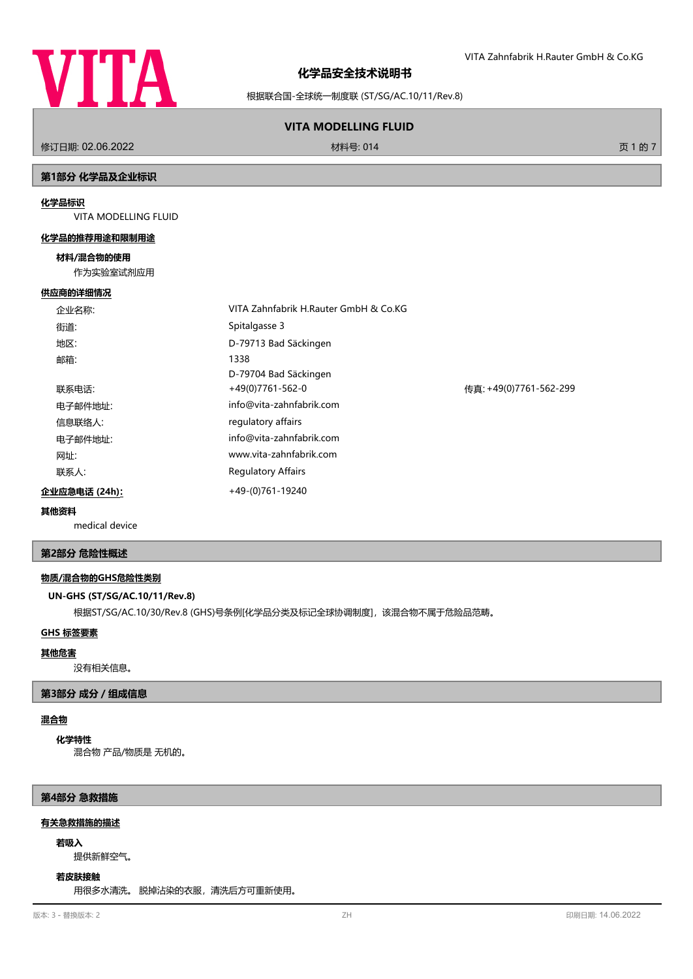

VITA Zahnfabrik H.Rauter GmbH & Co.KG

根据联合国-全球统一制度联 (ST/SG/AC.10/11/Rev.8)

# **VITA MODELLING FLUID**

修订日期: 02.06.2022 **the Contract of Contract of Contract of Contract of Contract of Contract of Contract of Contract of Contract of Contract of Contract of Contract of Contract of Contract of Contract of Contract of Contra** 

# **第1部分 化学品及企业标识**

#### **化学品标识**

VITA MODELLING FLUID

# **化学品的推荐用途和限制用途**

#### **材料/混合物的使用**

作为实验室试剂应用

#### **供应商的详细情况**

|                       | 企业名称:   | VITA Zahnfabrik H.Rauter GmbH & Co.KG |                        |
|-----------------------|---------|---------------------------------------|------------------------|
|                       | 街道:     | Spitalgasse 3                         |                        |
|                       | 地区:     | D-79713 Bad Säckingen                 |                        |
|                       | 邮箱:     | 1338                                  |                        |
|                       |         | D-79704 Bad Säckingen                 |                        |
|                       | 联系电话:   | $+49(0)7761-562-0$                    | 传真: +49(0)7761-562-299 |
|                       | 电子邮件地址: | info@vita-zahnfabrik.com              |                        |
|                       | 信息联络人:  | regulatory affairs                    |                        |
|                       | 电子邮件地址: | info@vita-zahnfabrik.com              |                        |
|                       | 网址:     | www.vita-zahnfabrik.com               |                        |
|                       | 联系人:    | <b>Regulatory Affairs</b>             |                        |
| 企业应急电话 (24h) <u>:</u> |         | +49-(0)761-19240                      |                        |

#### **其他资料**

medical device

#### **第2部分 危险性概述**

#### **物质/混合物的GHS危险性类别**

#### **UN-GHS (ST/SG/AC.10/11/Rev.8)**

根据ST/SG/AC.10/30/Rev.8 (GHS)号条例[化学品分类及标记全球协调制度], 该混合物不属于危险品范畴。

# **GHS 标签要素**

#### **其他危害**

没有相关信息。

#### **第3部分 成分/组成信息**

#### **混合物**

**化学特性**

混合物 产品/物质是 无机的。

#### **第4部分 急救措施**

#### **有关急救措施的描述**

#### **若吸入**

提供新鲜空气。

#### **若皮肤接触**

用很多水清洗。 脱掉沾染的衣服,清洗后方可重新使用。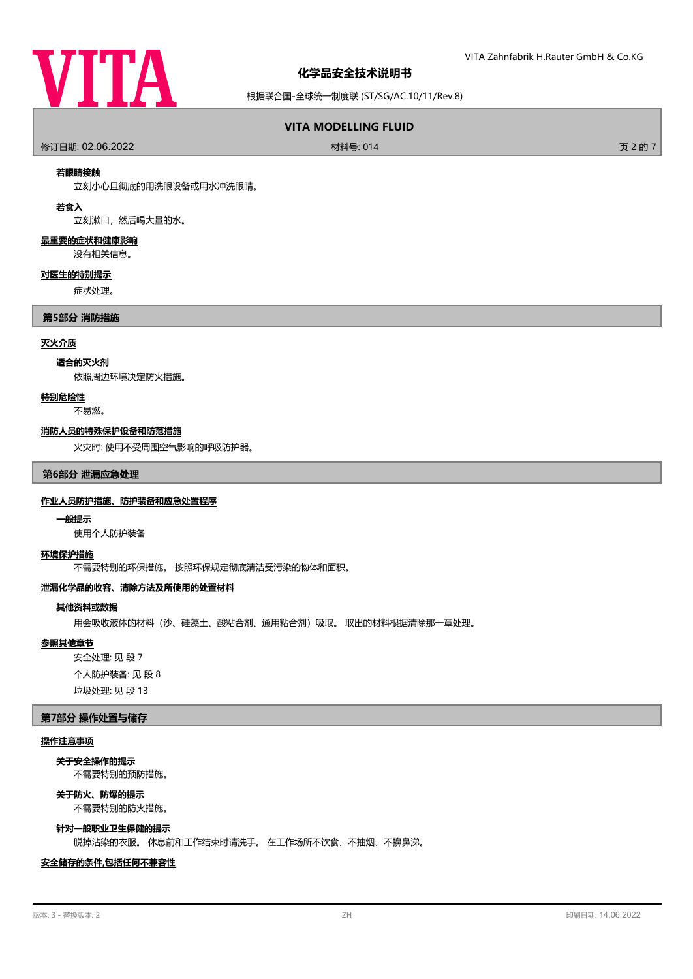

根据联合国-全球统一制度联 (ST/SG/AC.10/11/Rev.8)

# **VITA MODELLING FLUID**

修订日期: 02.06.2022 材料号: 014 页 2 的 7

#### **若眼睛接触**

立刻小心且彻底的用洗眼设备或用水冲洗眼睛。

# **若食入**

立刻漱口,然后喝大量的水。

#### **最重要的症状和健康影响**

没有相关信息。

#### **对医生的特别提示**

症状处理。

#### **第5部分 消防措施**

# **灭火介质**

#### **适合的灭火剂**

依照周边环境决定防火措施。

#### **特别危险性**

不易燃。

#### **消防人员的特殊保护设备和防范措施**

火灾时: 使用不受周围空气影响的呼吸防护器。

#### **第6部分 泄漏应急处理**

#### **作业人员防护措施、防护装备和应急处置程序**

#### **一般提示**

使用个人防护装备

#### **环境保护措施**

不需要特别的环保措施。 按照环保规定彻底清洁受污染的物体和面积。

# **泄漏化学品的收容、清除方法及所使用的处置材料**

#### **其他资料或数据**

用会吸收液体的材料(沙、硅藻土、酸粘合剂、通用粘合剂)吸取。 取出的材料根据清除那一章处理。

# **参照其他章节**

安全处理: 见 段 7 个人防护装备: 见 段 8 垃圾处理: 见 段 13

#### **第7部分 操作处置与储存**

#### **操作注意事项**

**关于安全操作的提示**

不需要特别的预防措施。

# **关于防火、防爆的提示**

不需要特别的防火措施。

#### **针对一般职业卫生保健的提示**

脱掉沾染的衣服。 休息前和工作结束时请洗手。 在工作场所不饮食、不抽烟、不擤鼻涕。

# **安全储存的条件,包括任何不兼容性**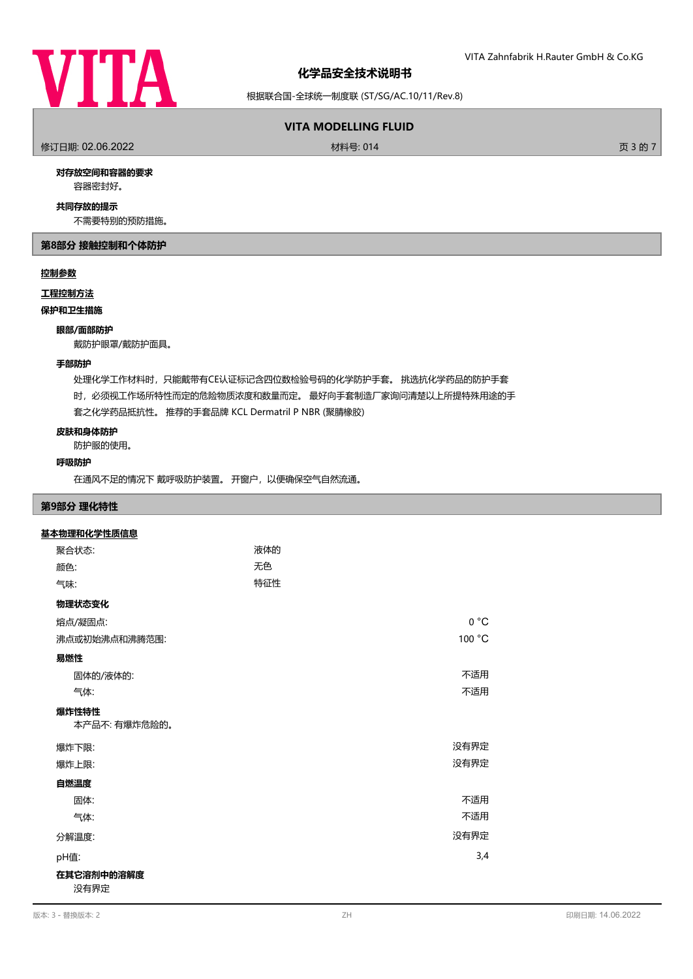

根据联合国-全球统一制度联 (ST/SG/AC.10/11/Rev.8)

# **VITA MODELLING FLUID**

修订日期: 02.06.2022 材料号: 014 页 3 的 7

#### **对存放空间和容器的要求**

容器密封好。

### **共同存放的提示**

不需要特别的预防措施。

# **第8部分 接触控制和个体防护**

#### **控制参数**

#### **工程控制方法**

**保护和卫生措施**

#### **眼部/面部防护**

戴防护眼罩/戴防护面具。

#### **手部防护**

处理化学工作材料时,只能戴带有CE认证标记含四位数检验号码的化学防护手套。 挑选抗化学药品的防护手套 时,必须视工作场所特性而定的危险物质浓度和数量而定。 最好向手套制造厂家询问清楚以上所提特殊用途的手 套之化学药品抵抗性。 推荐的手套品牌 KCL Dermatril P NBR (聚腈橡胶)

#### **皮肤和身体防护**

防护服的使用。

# **呼吸防护**

在通风不足的情况下 戴呼吸防护装置。 开窗户,以便确保空气自然流通。

#### **第9部分 理化特性**

# 聚合状态: わかり おおし かいしゃ 液体的 **基本物理和化学性质信息 颜色: こんさん こうしょう こうしょう こうしょう 元色** 气味: 特征性 **物理状态变化** 熔点/凝固点: 0 °C 沸点或初始沸点和沸腾范围: 100 °C **易燃性** 固体的/液体的: 不适用 气体: 不适用 本产品不: 有爆炸危险的。 **爆炸性特性** 爆炸下限: 没有界定 爆炸上限: 没有界定 **自燃温度** 固体: フィング こうしょう しょうしょう しょうしょう しょうしょう しょうしょう こうしょう 不适用 气体: 不适用 分解温度: 没有界定 pH值: 3,4 **在其它溶剂中的溶解度** 没有界定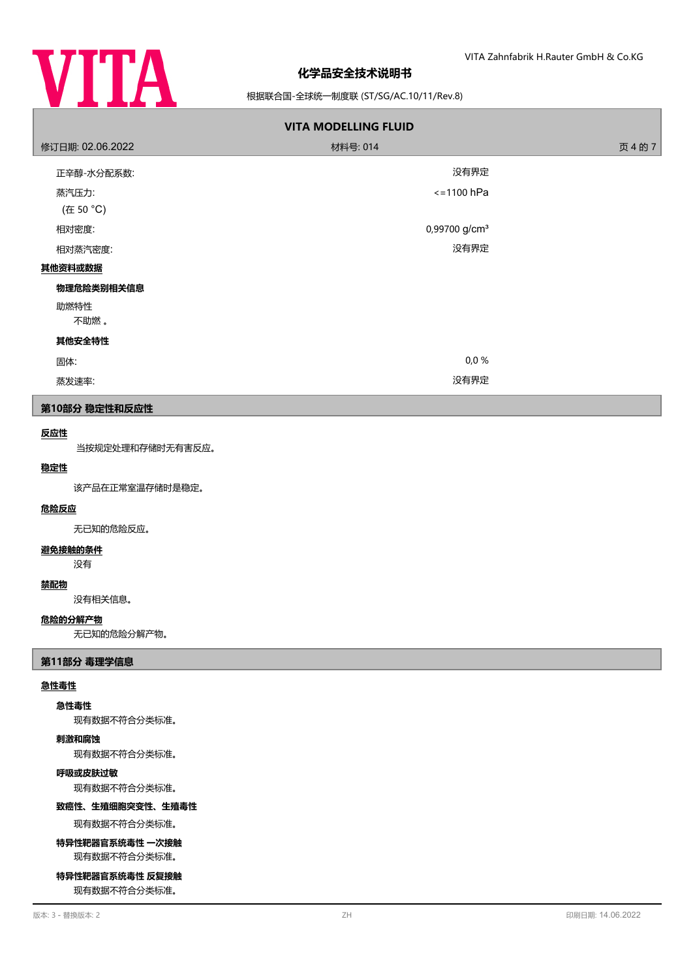

# 根据联合国-全球统一制度联 (ST/SG/AC.10/11/Rev.8)

| <b>VITA MODELLING FLUID</b> |                           |         |  |  |  |
|-----------------------------|---------------------------|---------|--|--|--|
| 修订日期: 02.06.2022            | 材料号: 014                  | 页 4 的 7 |  |  |  |
| 正辛醇-水分配系数:                  | 没有界定                      |         |  |  |  |
| 蒸汽压力:                       | $\le$ = 1100 hPa          |         |  |  |  |
| (在 50 °C)                   |                           |         |  |  |  |
| 相对密度:                       | 0,99700 g/cm <sup>3</sup> |         |  |  |  |
| 相对蒸汽密度:                     | 没有界定                      |         |  |  |  |
| 其他资料或数据                     |                           |         |  |  |  |
| 物理危险类别相关信息                  |                           |         |  |  |  |
| 助燃特性                        |                           |         |  |  |  |
| 不助燃。                        |                           |         |  |  |  |
| 其他安全特性                      |                           |         |  |  |  |
| 固体:                         | 0,0%                      |         |  |  |  |
| 蒸发速率:                       | 没有界定                      |         |  |  |  |
| 第10部分 稳定性和反应性               |                           |         |  |  |  |
| 反应性                         |                           |         |  |  |  |
| 当按规定处理和存储时无有害反应。            |                           |         |  |  |  |
| 稳定性                         |                           |         |  |  |  |
| 该产品在正常室温存储时是稳定。             |                           |         |  |  |  |
| 危险反应                        |                           |         |  |  |  |
| 无已知的危险反应。                   |                           |         |  |  |  |
| 避免接触的条件<br>没有               |                           |         |  |  |  |

# **禁配物**

没有相关信息。

# **危险的分解产物**

无已知的危险分解产物。

# **第11部分 毒理学信息**

# **急性毒性**

#### **急性毒性**

现有数据不符合分类标准。

#### **刺激和腐蚀**

现有数据不符合分类标准。

# **呼吸或皮肤过敏**

现有数据不符合分类标准。

# **致癌性、生殖细胞突变性、生殖毒性**

现有数据不符合分类标准。

# **特异性靶器官系统毒性 一次接触** 现有数据不符合分类标准。

**特异性靶器官系统毒性 反复接触**

现有数据不符合分类标准。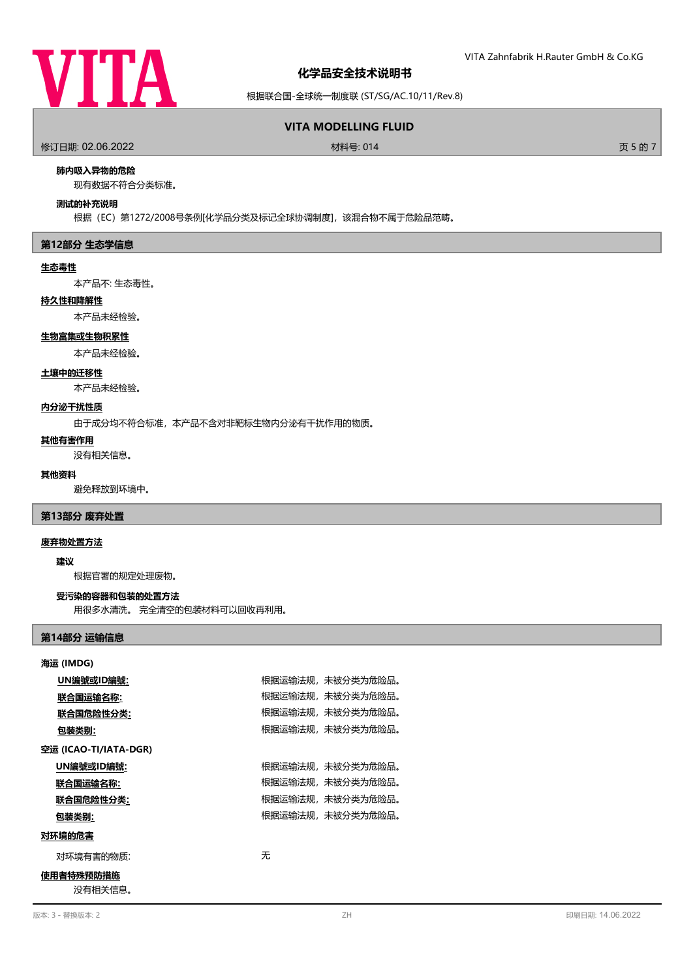

根据联合国-全球统一制度联 (ST/SG/AC.10/11/Rev.8)

# **VITA MODELLING FLUID**

修订日期: 02.06.2022 材料号: 014 页 5 的 7

# **肺内吸入异物的危险**

现有数据不符合分类标准。

#### **测试的补充说明**

根据(EC)第1272/2008号条例[化学品分类及标记全球协调制度],该混合物不属于危险品范畴。

#### **第12部分 生态学信息**

#### **生态毒性**

本产品不: 生态毒性。

# **持久性和降解性**

本产品未经检验。

#### **生物富集或生物积累性**

本产品未经检验。

# **土壤中的迁移性**

本产品未经检验。

# **内分泌干扰性质**

由于成分均不符合标准,本产品不含对非靶标生物内分泌有干扰作用的物质。

### **其他有害作用**

没有相关信息。

# **其他资料**

避免释放到环境中。

#### **第13部分 废弃处置**

#### **废弃物处置方法**

**建议**

根据官署的规定处理废物。

# **受污染的容器和包装的处置方法**

用很多水清洗。 完全清空的包装材料可以回收再利用。

# **第14部分 运输信息**

| 海运 (IMDG)             |                  |  |  |  |
|-----------------------|------------------|--|--|--|
| UN編號或ID編號:            | 根据运输法规,未被分类为危险品。 |  |  |  |
| 联合国运输名称:              | 根据运输法规,未被分类为危险品。 |  |  |  |
| 联合国危险性分类:             | 根据运输法规,未被分类为危险品。 |  |  |  |
| 包装类别:                 | 根据运输法规,未被分类为危险品。 |  |  |  |
| 空运 (ICAO-TI/IATA-DGR) |                  |  |  |  |
| UN編號或ID編號:            | 根据运输法规,未被分类为危险品。 |  |  |  |
| 联合国运输名称:              | 根据运输法规,未被分类为危险品。 |  |  |  |
| 联合国危险性分类:             | 根据运输法规,未被分类为危险品。 |  |  |  |
| 包装类别:                 | 根据运输法规,未被分类为危险品。 |  |  |  |
| 对环境的危害                |                  |  |  |  |
| 对环境有害的物质:             | 无                |  |  |  |
| 使用者特殊预防措施<br>没有相关信息。  |                  |  |  |  |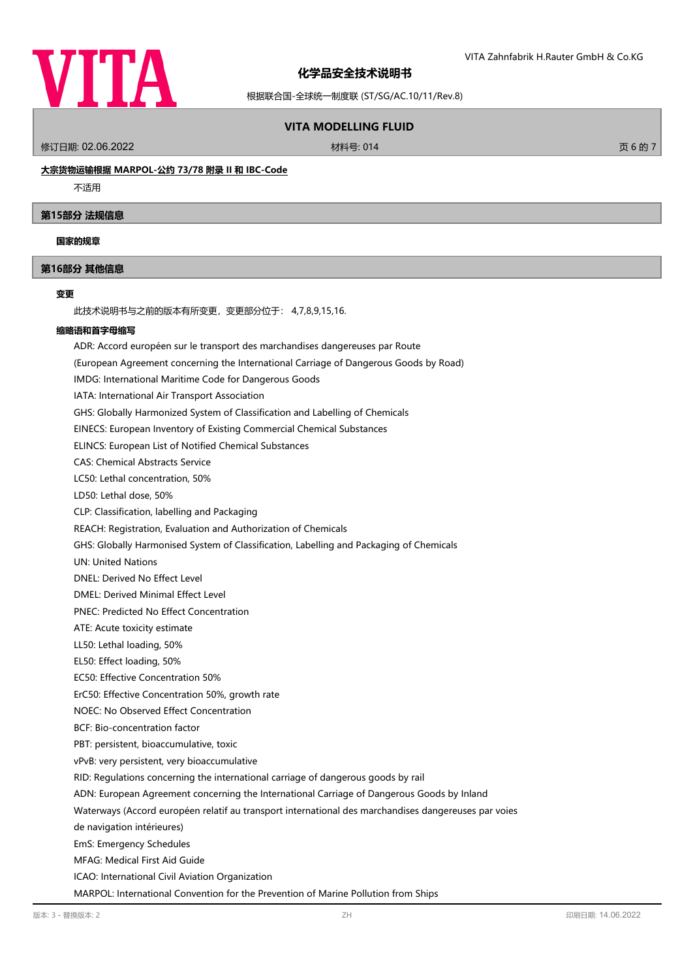

根据联合国-全球统一制度联 (ST/SG/AC.10/11/Rev.8)

# **VITA MODELLING FLUID**

修订日期: 02.06.2022 材料号: 014 页 6 的 7

# **大宗货物运输根据 MARPOL-公约 73/78 附录 II 和 IBC-Code**

不适用

#### **第15部分 法规信息**

#### **国家的规章**

# **第16部分 其他信息**

#### **变更**

此技术说明书与之前的版本有所变更,变更部分位于: 4,7,8,9,15,16.

#### **缩略语和首字母缩写**

ADR: Accord européen sur le transport des marchandises dangereuses par Route

- (European Agreement concerning the International Carriage of Dangerous Goods by Road)
- IMDG: International Maritime Code for Dangerous Goods

IATA: International Air Transport Association

GHS: Globally Harmonized System of Classification and Labelling of Chemicals

EINECS: European Inventory of Existing Commercial Chemical Substances

ELINCS: European List of Notified Chemical Substances

CAS: Chemical Abstracts Service

LC50: Lethal concentration, 50%

LD50: Lethal dose, 50%

CLP: Classification, labelling and Packaging

REACH: Registration, Evaluation and Authorization of Chemicals

GHS: Globally Harmonised System of Classification, Labelling and Packaging of Chemicals

UN: United Nations

DNEL: Derived No Effect Level

DMEL: Derived Minimal Effect Level

PNEC: Predicted No Effect Concentration

ATE: Acute toxicity estimate

LL50: Lethal loading, 50%

EL50: Effect loading, 50%

EC50: Effective Concentration 50%

ErC50: Effective Concentration 50%, growth rate

NOEC: No Observed Effect Concentration

BCF: Bio-concentration factor

PBT: persistent, bioaccumulative, toxic

vPvB: very persistent, very bioaccumulative

RID: Regulations concerning the international carriage of dangerous goods by rail

ADN: European Agreement concerning the International Carriage of Dangerous Goods by Inland

Waterways (Accord européen relatif au transport international des marchandises dangereuses par voies

de navigation intérieures)

EmS: Emergency Schedules

MFAG: Medical First Aid Guide

ICAO: International Civil Aviation Organization

MARPOL: International Convention for the Prevention of Marine Pollution from Ships